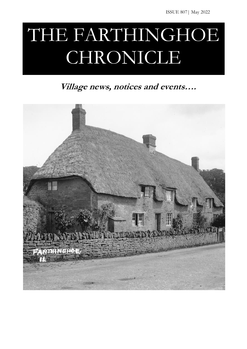# THE FARTHINGHOE CHRONICLE

**Village news, notices and events….**

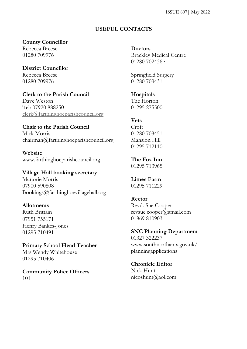ISSUE 807| May 2022

#### **USEFUL CONTACTS**

#### **County Councillor**

Rebecca Breese 01280 709976

**District Councillor** Rebecca Breese 01280 709976

**Clerk to the Parish Council** Dave Weston Tel: [07920 888250](tel://07920%20888250/) [clerk@farthinghoeparishcouncil.org](mailto:clerk@farthinghoeparishcouncil.org)

### **Chair to the Parish Council**

Mick Morris chairman@farthinghoeparishcouncil.org

**Website** www.farthinghoeparishcouncil.org

#### **Village Hall booking secretary**

Marjorie Morris 07900 590808 Bookings@farthinghoevillagehall.org

#### **Allotments**

Ruth Brittain 07951 755171 Henry Bankes-Jones 01295 710491

#### **Primary School Head Teacher**

Mrs Wendy Whitehouse 01295 710406

**Community Police Officers** 101

**Doctors**

Brackley Medical Centre 01280 702436 ·

Springfield Surgery 01280 703431

**Hospitals** The Horton 01295 275500

#### **Vets**

Croft 01280 703451 Mansion Hill 01295 712110

**The Fox Inn** 01295 713965

#### **Limes Farm** 01295 711229

#### **Rector**

Revd. Sue Cooper revsue.cooper@gmail.com 01869 810903

#### **SNC Planning Department**

01327 322237 www.southnorthants.gov.uk/ planningapplications

## **Chronicle Editor**

Nick Hunt nicoshunt@aol.com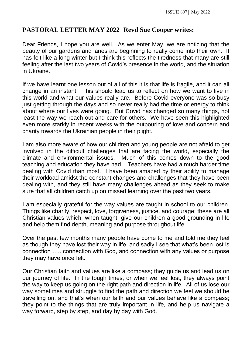## **PASTORAL LETTER MAY 2022 Revd Sue Cooper writes:**

Dear Friends, I hope you are well. As we enter May, we are noticing that the beauty of our gardens and lanes are beginning to really come into their own. It has felt like a long winter but I think this reflects the tiredness that many are still feeling after the last two years of Covid's presence in the world, and the situation in Ukraine.

If we have learnt one lesson out of all of this it is that life is fragile, and it can all change in an instant. This should lead us to reflect on how we want to live in this world and what our values really are. Before Covid everyone was so busy just getting through the days and so never really had the time or energy to think about where our lives were going. But Covid has changed so many things, not least the way we reach out and care for others. We have seen this highlighted even more starkly in recent weeks with the outpouring of love and concern and charity towards the Ukrainian people in their plight.

I am also more aware of how our children and young people are not afraid to get involved in the difficult challenges that are facing the world, especially the climate and environmental issues. Much of this comes down to the good teaching and education they have had. Teachers have had a much harder time dealing with Covid than most. I have been amazed by their ability to manage their workload amidst the constant changes and challenges that they have been dealing with, and they still have many challenges ahead as they seek to make sure that all children catch up on missed learning over the past two years.

I am especially grateful for the way values are taught in school to our children. Things like charity, respect, love, forgiveness, justice, and courage; these are all Christian values which, when taught, give our children a good grounding in life and help them find depth, meaning and purpose throughout life.

Over the past few months many people have come to me and told me they feel as though they have lost their way in life, and sadly I see that what's been lost is connection ….. connection with God, and connection with any values or purpose they may have once felt.

Our Christian faith and values are like a compass; they guide us and lead us on our journey of life. In the tough times, or when we feel lost, they always point the way to keep us going on the right path and direction in life. All of us lose our way sometimes and struggle to find the path and direction we feel we should be travelling on, and that's when our faith and our values behave like a compass; they point to the things that are truly important in life, and help us navigate a way forward, step by step, and day by day with God.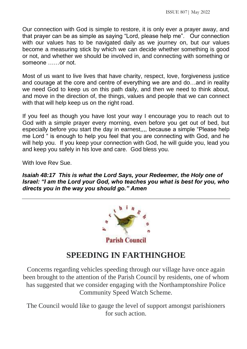Our connection with God is simple to restore, it is only ever a prayer away, and that prayer can be as simple as saying "Lord, please help me". Our connection with our values has to be navigated daily as we journey on, but our values become a measuring stick by which we can decide whether something is good or not, and whether we should be involved in, and connecting with something or someone ……or not.

Most of us want to live lives that have charity, respect, love, forgiveness justice and courage at the core and centre of everything we are and do…and in reality we need God to keep us on this path daily, and then we need to think about, and move in the direction of, the things, values and people that we can connect with that will help keep us on the right road.

If you feel as though you have lost your way I encourage you to reach out to God with a simple prayer every morning, even before you get out of bed, but especially before you start the day in earnest,,,, because a simple "Please help me Lord " is enough to help you feel that you are connecting with God, and he will help you. If you keep your connection with God, he will guide you, lead you and keep you safely in his love and care. God bless you.

With love Rev Sue.

*Isaiah 48:17 This is what the Lord Says, your Redeemer, the Holy one of Israel: "I am the Lord your God, who teaches you what is best for you, who directs you in the way you should go." Amen*



## **SPEEDING IN FARTHINGHOE**

Concerns regarding vehicles speeding through our village have once again been brought to the attention of the Parish Council by residents, one of whom has suggested that we consider engaging with the Northamptonshire Police Community Speed Watch Scheme.

The Council would like to gauge the level of support amongst parishioners for such action.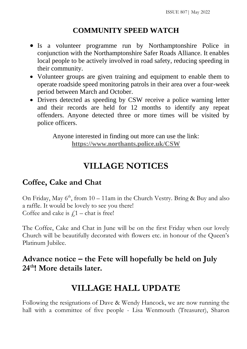## **COMMUNITY SPEED WATCH**

- Is a volunteer programme run by Northamptonshire Police in conjunction with the Northamptonshire Safer Roads Alliance. It enables local people to be actively involved in road safety, reducing speeding in their community.
- Volunteer groups are given training and equipment to enable them to operate roadside speed monitoring patrols in their area over a four-week period between March and October.
- Drivers detected as speeding by CSW receive a police warning letter and their records are held for 12 months to identify any repeat offenders. Anyone detected three or more times will be visited by police officers.

Anyone interested in finding out more can use the link: **<https://www.northants.police.uk/CSW>**

# **VILLAGE NOTICES**

## **Coffee, Cake and Chat**

On Friday, May  $6<sup>th</sup>$ , from  $10-11$ am in the Church Vestry. Bring & Buy and also a raffle. It would be lovely to see you there! Coffee and cake is  $f_1$  – chat is free!

The Coffee, Cake and Chat in June will be on the first Friday when our lovely Church will be beautifully decorated with flowers etc. in honour of the Queen's Platinum Jubilee.

## **Advance notice – the Fete will hopefully be held on July 24th! More details later.**

# **VILLAGE HALL UPDATE**

Following the resignations of Dave & Wendy Hancock, we are now running the hall with a committee of five people - Lisa Wenmouth (Treasurer), Sharon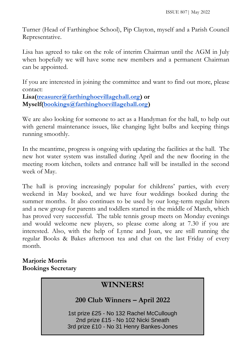Turner (Head of Farthinghoe School), Pip Clayton, myself and a Parish Council Representative.

Lisa has agreed to take on the role of interim Chairman until the AGM in July when hopefully we will have some new members and a permanent Chairman can be appointed.

If you are interested in joining the committee and want to find out more, please contact:

**Lisa[\(treasurer@farthinghoevillagehall.org\)](mailto:treasurer@farthinghoevillagehall.org) or Myself[\(bookings@farthinghoevillagehall.org\)](mailto:bokings@farthinghoevillagehall.org)**

We are also looking for someone to act as a Handyman for the hall, to help out with general maintenance issues, like changing light bulbs and keeping things running smoothly.

In the meantime, progress is ongoing with updating the facilities at the hall. The new hot water system was installed during April and the new flooring in the meeting room kitchen, toilets and entrance hall will be installed in the second week of May.

The hall is proving increasingly popular for childrens' parties, with every weekend in May booked, and we have four weddings booked during the summer months. It also continues to be used by our long-term regular hirers and a new group for parents and toddlers started in the middle of March, which has proved very successful. The table tennis group meets on Monday evenings and would welcome new players, so please come along at 7.30 if you are interested. Also, with the help of Lynne and Joan, we are still running the regular Books & Bakes afternoon tea and chat on the last Friday of every month.

### **Marjorie Morris Bookings Secretary**

## **WINNERS!**

**200 Club Winners – April 2022**

1st prize £25 - No 132 Rachel McCullough 2nd prize £15 - No 102 Nicki Sneath 3rd prize £10 - No 31 Henry Bankes-Jones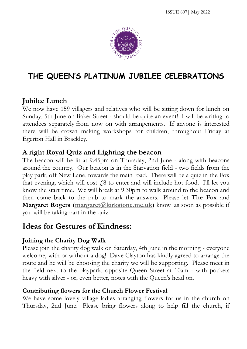

# **THE QUEEN'S PLATINUM JUBILEE CELEBRATIONS**

## **Jubilee Lunch**

We now have 159 villagers and relatives who will be sitting down for lunch on Sunday, 5th June on Baker Street - should be quite an event! I will be writing to attendees separately from now on with arrangements. If anyone is interested there will be crown making workshops for children, throughout Friday at Egerton Hall in Brackley.

## **A right Royal Quiz and Lighting the beacon**

The beacon will be lit at 9.45pm on Thursday, 2nd June - along with beacons around the country. Our beacon is in the Starvation field - two fields from the play park, off New Lane, towards the main road. There will be a quiz in the Fox that evening, which will cost  $\dot{\ell}$  to enter and will include hot food. I'll let you know the start time. We will break at 9.30pm to walk around to the beacon and then come back to the pub to mark the answers. Please let **The Fox** and **Margaret Rogers** [\(margaret@kirkstone.me.uk\)](mailto:margaret@kirkstone.me.uk) know as soon as possible if you will be taking part in the quiz.

## **Ideas for Gestures of Kindness:**

## **Joining the Charity Dog Walk**

Please join the charity dog walk on Saturday, 4th June in the morning - everyone welcome, with or without a dog! Dave Clayton has kindly agreed to arrange the route and he will be choosing the charity we will be supporting. Please meet in the field next to the playpark, opposite Queen Street at 10am - with pockets heavy with silver - or, even better, notes with the Queen's head on.

## **Contributing flowers for the Church Flower Festival**

We have some lovely village ladies arranging flowers for us in the church on Thursday, 2nd June. Please bring flowers along to help fill the church, if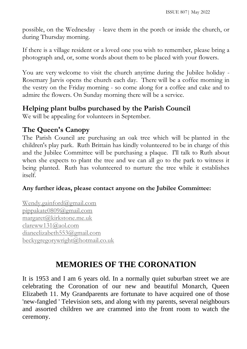possible, on the Wednesday - leave them in the porch or inside the church, or during Thursday morning.

If there is a village resident or a loved one you wish to remember, please bring a photograph and, or, some words about them to be placed with your flowers.

You are very welcome to visit the church anytime during the Jubilee holiday - Rosemary Jarvis opens the church each day. There will be a coffee morning in the vestry on the Friday morning - so come along for a coffee and cake and to admire the flowers. On Sunday morning there will be a service.

## **Helping plant bulbs purchased by the Parish Council**

We will be appealing for volunteers in September.

## **The Queen's Canopy**

The Parish Council are purchasing an oak tree which will be planted in the children's play park. Ruth Brittain has kindly volunteered to be in charge of this and the Jubilee Committee will be purchasing a plaque. I'll talk to Ruth about when she expects to plant the tree and we can all go to the park to witness it being planted. Ruth has volunteered to nurture the tree while it establishes itself.

## **Any further ideas, please contact anyone on the Jubilee Committee:**

[Wendy.gainford@gmail.com](mailto:Wendy.gainford@gmail.com) [pippakate0809@gmail.com](mailto:pippakate0809@gmail.com) [margaret@kirkstone.me.uk](mailto:margaret@kirkstone.me.uk) [clareww131@aol.com](mailto:clareww131@aol.com) [dianeelizabeth553@gmail.com](mailto:dianeelizabeth553@gmail.com) [beckygregorywright@hotmail.co.uk](mailto:beckygregorywright@hotmail.co.uk)

# **MEMORIES OF THE CORONATION**

It is 1953 and I am 6 years old. In a normally quiet suburban street we are celebrating the Coronation of our new and beautiful Monarch, Queen Elizabeth 11. My Grandparents are fortunate to have acquired one of those 'new-fangled ' Television sets, and along with my parents, several neighbours and assorted children we are crammed into the front room to watch the ceremony.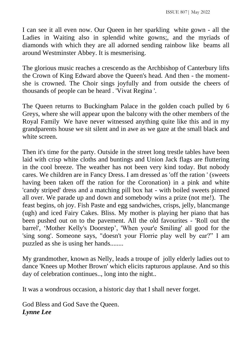I can see it all even now. Our Queen in her sparkling white gown - all the Ladies in Waiting also in splendid white gowns;, and the myriads of diamonds with which they are all adorned sending rainbow like beams all around Westminster Abbey. It is mesmerising.

The glorious music reaches a crescendo as the Archbishop of Canterbury lifts the Crown of King Edward above the Queen's head. And then - the momentshe is crowned. The Choir sings joyfully and from outside the cheers of thousands of people can be heard . 'Vivat Regina '.

The Queen returns to Buckingham Palace in the golden coach pulled by 6 Greys, where she will appear upon the balcony with the other members of the Royal Family We have never witnessed anything quite like this and in my grandparents house we sit silent and in awe as we gaze at the small black and white screen.

Then it's time for the party. Outside in the street long trestle tables have been laid with crisp white cloths and buntings and Union Jack flags are fluttering in the cool breeze. The weather has not been very kind today. But nobody cares. We children are in Fancy Dress. I am dressed as 'off the ration ' (sweets having been taken off the ration for the Coronation) in a pink and white 'candy striped' dress and a matching pill box hat - with boiled sweets pinned all over. We parade up and down and somebody wins a prize (not me!). The feast begins, oh joy. Fish Paste and egg sandwiches, crisps, jelly, blancmange (ugh) and iced Fairy Cakes. Bliss. My mother is playing her piano that has been pushed out on to the pavement. All the old favourites - 'Roll out the barrel', 'Mother Kelly's Doorstep', 'When your'e Smiling' all good for the 'sing song'. Someone says, "doesn't your Florrie play well by ear?" I am puzzled as she is using her hands........

My grandmother, known as Nelly, leads a troupe of jolly elderly ladies out to dance 'Knees up Mother Brown' which elicits rapturous applause. And so this day of celebration continues.., long into the night..

It was a wondrous occasion, a historic day that I shall never forget.

God Bless and God Save the Queen. *Lynne Lee*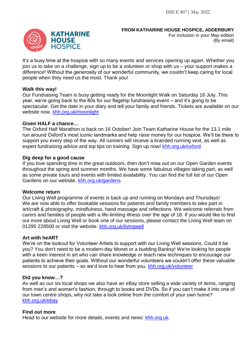#### **FROM KATHARINE HOUSE HOSPICE, ADDERBURY**

For inclusion in your May edition (By email)

It's a busy time at the hospice with so many events and services opening up again. Whether you join us to take on a challenge, sign up to be a volunteer or shop with us – your support makes a difference! Without the generosity of our wonderful community, we couldn't keep caring for local people when they need us the most. Thank you!

#### **Walk this way!**

Our Fundraising Team is busy getting ready for the Moonlight Walk on Saturday 16 July. This year, we're going back to the 80s for our flagship fundraising event – and it's going to be spectacular. Get the date in your diary and tell your family and friends. Tickets are available on our website now. khh.org.uk/moonlight

#### **Given HALF a chance…**

The Oxford Half Marathon is back on 16 October! Join Team Katharine House for the 13.1 mile run around Oxford's most iconic landmarks and help raise money for our hospice. We'll be there to support you every step of the way. All runners will receive a branded running vest, as well as expert fundraising advice and top tips on training. Sign up now! khh.org.uk/oxford

#### **Dig deep for a good cause**

If you love spending time in the great outdoors, then don't miss out on our Open Garden events throughout the spring and summer months. We have some fabulous villages taking part, as well as some private tours and events with limited availability. You can find the full list of our Open Gardens on our website. khh.org.uk/gardens

#### **Welcome return**

Our Living Well programme of events is back up and running on Mondays and Thursdays! We are now able to offer bookable sessions for patients and family members to take part in art/craft & photography, mindfulness, hand massage and reflections. We welcome referrals from carers and families of people with a life-limiting illness over the age of 18. If you would like to find out more about Living Well or book one of our sessions, please contact the Living Well team on 01295 228500 or visit the website. khh.org.uk/livingwell

#### **Art with heART**

We're on the lookout for Volunteer Artists to support with our Living Well sessions. Could it be you? You don't need to be a modern-day Monet or a budding Banksy! We're looking for people with a keen interest in art who can share knowledge or teach new techniques to encourage our patients to achieve their goals. Without our wonderful volunteers we couldn't offer these valuable sessions to our patients – so we'd love to hear from you. khh.org.uk/volunteer

#### **Did you know…?**

As well as our six local shops we also have an eBay store selling a wide variety of items, ranging from men's and women's fashion, through to books and DVDs. So if you can't make it into one of our town centre shops, why not take a look online from the comfort of your own home? khh.org.uk/ebay

#### **Find out more**

Head to our website for more details, events and news: khh.org.uk.

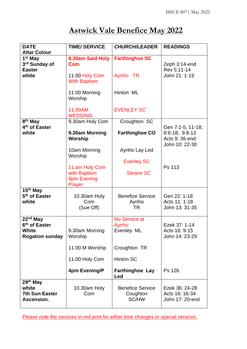# **Astwick Vale Benefice May 2022**

| <b>DATE</b><br><b>Altar Colour</b>                                         | <b>TIME/ SERVICE</b>                  | <b>CHURCH/LEADER</b>                          | <b>READINGS</b>                                         |
|----------------------------------------------------------------------------|---------------------------------------|-----------------------------------------------|---------------------------------------------------------|
| 1 <sup>st</sup> May<br>3rd Sunday of<br><b>Easter</b><br>white             | 8.30am Said Holy<br><b>Com</b>        | <b>Farthinghoe SC</b>                         | Zeph 3:14-end<br>Rev 5:11-14                            |
|                                                                            | 11.00 Holy Com<br><b>With Baptism</b> | Aynho TR                                      | John 21: 1-19                                           |
|                                                                            | 11:00 Morning<br>Worship              | Hinton ML                                     |                                                         |
|                                                                            | 11.00AM<br><b>WEDDING</b>             | <b>EVENLEY SC</b>                             |                                                         |
| 8 <sup>th</sup> May<br>4 <sup>th</sup> of Easter                           | 9.30am Holy Com                       | Croughton SC                                  | Gen 7:1-5, 11-18;                                       |
| white                                                                      | 9.30am Morning<br><b>Worship</b>      | <b>Farthinghoe CO</b>                         | $8:6-18$ ; $9.8-13$<br>Acts 9: 36-end<br>John 10: 22-30 |
|                                                                            | 10am Morning<br>Worship               | Aynho Lay Led                                 |                                                         |
|                                                                            | 11.am Holy Com                        | <b>Evenley SC</b>                             | Ps 113                                                  |
|                                                                            | with Baptism<br>6pm Evening<br>Prayer | <b>Steane SC</b>                              |                                                         |
| $\overline{15}$ <sup>th</sup> May<br>5 <sup>th</sup> of Easter<br>white    | 10.30am Holy<br>Com<br>(Sue Off)      | <b>Benefice Service</b><br>Aynho<br><b>TR</b> | Gen 22: 1-18<br>Acts 11: 1-18<br>John 13: 31-35         |
| $22nd$ May<br>6 <sup>th</sup> of Easter<br>White<br><b>Rogation sunday</b> | 9.30am Morning<br>Worship             | No Service at<br>Aynho<br>Evenley ML          | Ezek 37: 1-14<br>Acts 16: 9-15<br>John 14: 23-29        |
|                                                                            | 11:00 M Worship                       | Croughton TR                                  |                                                         |
|                                                                            | 11.00 Holy Com                        | <b>Hinton SC</b>                              |                                                         |
|                                                                            | 4pm Evening/P                         | <b>Farthinghoe Lay</b><br>Led                 | Ps 126                                                  |
| 29th May<br>white<br><b>7th Sun Easter</b><br>Ascension.                   | 10.30am Holy<br>Com                   | <b>Benefice Service</b><br>Coughton<br>SC/HW  | Ezek 36: 24-28<br>Acts 16: 16-34<br>John 17: 20-end     |

Please note the services in red print for either time changes or special services.